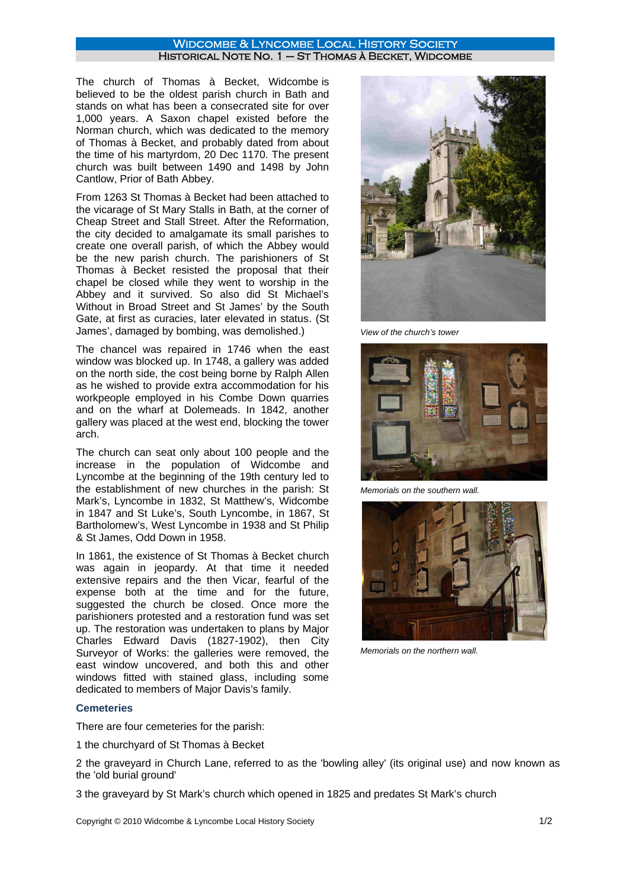## WIDCOMBE & LYNCOMBE LOCAL HISTORY SOCIETY Historical Note No. 1 – St Thomas à Becket, Widcombe

The church of Thomas à Becket, Widcombe is believed to be the oldest parish church in Bath and stands on what has been a consecrated site for over 1,000 years. A Saxon chapel existed before the Norman church, which was dedicated to the memory of Thomas à Becket, and probably dated from about the time of his martyrdom, 20 Dec 1170. The present church was built between 1490 and 1498 by John Cantlow, Prior of Bath Abbey.

From 1263 St Thomas à Becket had been attached to the vicarage of St Mary Stalls in Bath, at the corner of Cheap Street and Stall Street. After the Reformation, the city decided to amalgamate its small parishes to create one overall parish, of which the Abbey would be the new parish church. The parishioners of St Thomas à Becket resisted the proposal that their chapel be closed while they went to worship in the Abbey and it survived. So also did St Michael's Without in Broad Street and St James' by the South Gate, at first as curacies, later elevated in status. (St James', damaged by bombing, was demolished.)

The chancel was repaired in 1746 when the east window was blocked up. In 1748, a gallery was added on the north side, the cost being borne by Ralph Allen as he wished to provide extra accommodation for his workpeople employed in his Combe Down quarries and on the wharf at Dolemeads. In 1842, another gallery was placed at the west end, blocking the tower arch.

The church can seat only about 100 people and the increase in the population of Widcombe and Lyncombe at the beginning of the 19th century led to the establishment of new churches in the parish: St Mark's, Lyncombe in 1832, St Matthew's, Widcombe in 1847 and St Luke's, South Lyncombe, in 1867, St Bartholomew's, West Lyncombe in 1938 and St Philip & St James, Odd Down in 1958.

In 1861, the existence of St Thomas à Becket church was again in jeopardy. At that time it needed extensive repairs and the then Vicar, fearful of the expense both at the time and for the future, suggested the church be closed. Once more the parishioners protested and a restoration fund was set up. The restoration was undertaken to plans by Major Charles Edward Davis (1827-1902), then City Surveyor of Works: the galleries were removed, the east window uncovered, and both this and other windows fitted with stained glass, including some dedicated to members of Major Davis's family.





*Memorials on the southern wall.*



*Memorials on the northern wall.*

# **Cemeteries**

There are four cemeteries for the parish:

1 the churchyard of St Thomas à Becket

2 the graveyard in Church Lane, referred to as the 'bowling alley' (its original use) and now known as the 'old burial ground'

3 the graveyard by St Mark's church which opened in 1825 and predates St Mark's church